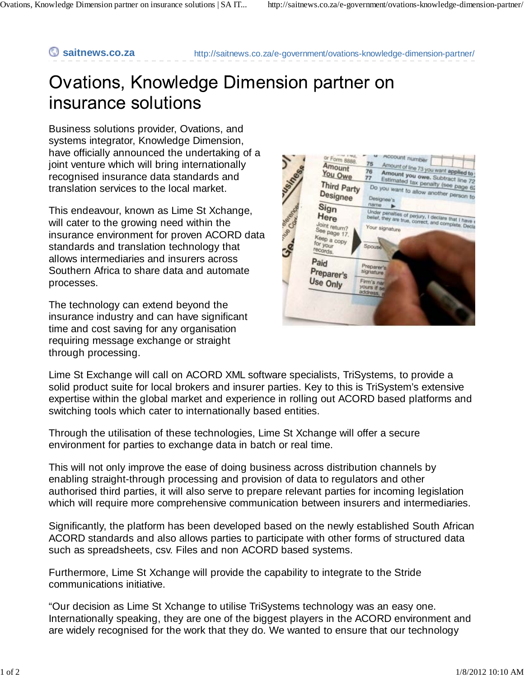**saitnews.co.za** http://saitnews.co.za/e-government/ovations-knowledge-dimension-partner/

## Ovations, Knowledge Dimension partner on insurance solutions

Business solutions provider, Ovations, and systems integrator, Knowledge Dimension, have officially announced the undertaking of a joint venture which will bring internationally recognised insurance data standards and translation services to the local market.

This endeavour, known as Lime St Xchange, will cater to the growing need within the insurance environment for proven ACORD data standards and translation technology that allows intermediaries and insurers across Southern Africa to share data and automate processes.

The technology can extend beyond the insurance industry and can have significant time and cost saving for any organisation requiring message exchange or straight through processing.



Lime St Exchange will call on ACORD XML software specialists, TriSystems, to provide a solid product suite for local brokers and insurer parties. Key to this is TriSystem's extensive expertise within the global market and experience in rolling out ACORD based platforms and switching tools which cater to internationally based entities.

Through the utilisation of these technologies, Lime St Xchange will offer a secure environment for parties to exchange data in batch or real time.

This will not only improve the ease of doing business across distribution channels by enabling straight-through processing and provision of data to regulators and other authorised third parties, it will also serve to prepare relevant parties for incoming legislation which will require more comprehensive communication between insurers and intermediaries.

Significantly, the platform has been developed based on the newly established South African ACORD standards and also allows parties to participate with other forms of structured data such as spreadsheets, csv. Files and non ACORD based systems.

Furthermore, Lime St Xchange will provide the capability to integrate to the Stride communications initiative.

"Our decision as Lime St Xchange to utilise TriSystems technology was an easy one. Internationally speaking, they are one of the biggest players in the ACORD environment and are widely recognised for the work that they do. We wanted to ensure that our technology